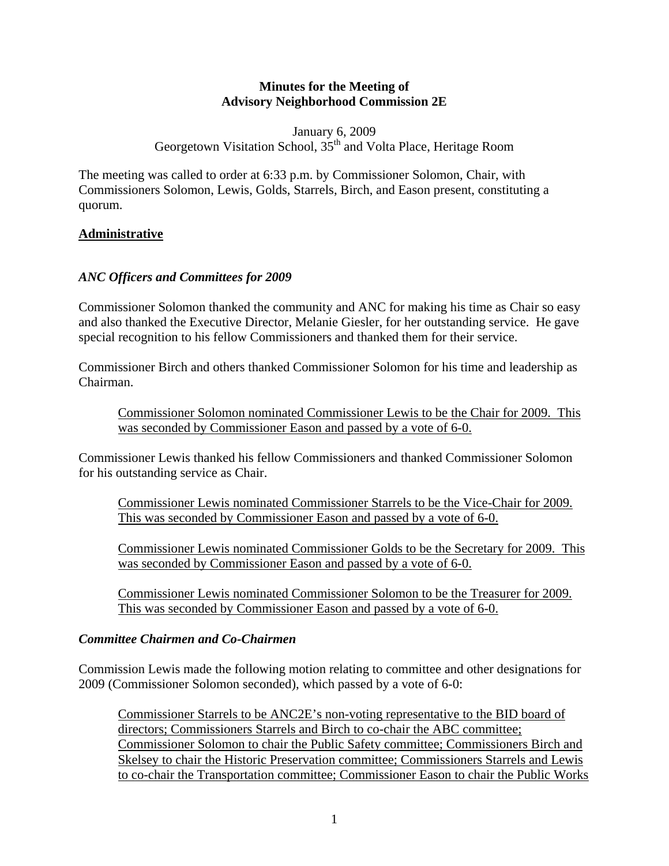#### **Minutes for the Meeting of Advisory Neighborhood Commission 2E**

January 6, 2009 Georgetown Visitation School, 35<sup>th</sup> and Volta Place, Heritage Room

The meeting was called to order at 6:33 p.m. by Commissioner Solomon, Chair, with Commissioners Solomon, Lewis, Golds, Starrels, Birch, and Eason present, constituting a quorum.

#### **Administrative**

#### *ANC Officers and Committees for 2009*

Commissioner Solomon thanked the community and ANC for making his time as Chair so easy and also thanked the Executive Director, Melanie Giesler, for her outstanding service. He gave special recognition to his fellow Commissioners and thanked them for their service.

Commissioner Birch and others thanked Commissioner Solomon for his time and leadership as Chairman.

Commissioner Solomon nominated Commissioner Lewis to be the Chair for 2009. This was seconded by Commissioner Eason and passed by a vote of 6-0.

Commissioner Lewis thanked his fellow Commissioners and thanked Commissioner Solomon for his outstanding service as Chair.

Commissioner Lewis nominated Commissioner Starrels to be the Vice-Chair for 2009. This was seconded by Commissioner Eason and passed by a vote of 6-0.

Commissioner Lewis nominated Commissioner Golds to be the Secretary for 2009. This was seconded by Commissioner Eason and passed by a vote of 6-0.

Commissioner Lewis nominated Commissioner Solomon to be the Treasurer for 2009. This was seconded by Commissioner Eason and passed by a vote of 6-0.

#### *Committee Chairmen and Co-Chairmen*

Commission Lewis made the following motion relating to committee and other designations for 2009 (Commissioner Solomon seconded), which passed by a vote of 6-0:

Commissioner Starrels to be ANC2E's non-voting representative to the BID board of directors; Commissioners Starrels and Birch to co-chair the ABC committee; Commissioner Solomon to chair the Public Safety committee; Commissioners Birch and Skelsey to chair the Historic Preservation committee; Commissioners Starrels and Lewis to co-chair the Transportation committee; Commissioner Eason to chair the Public Works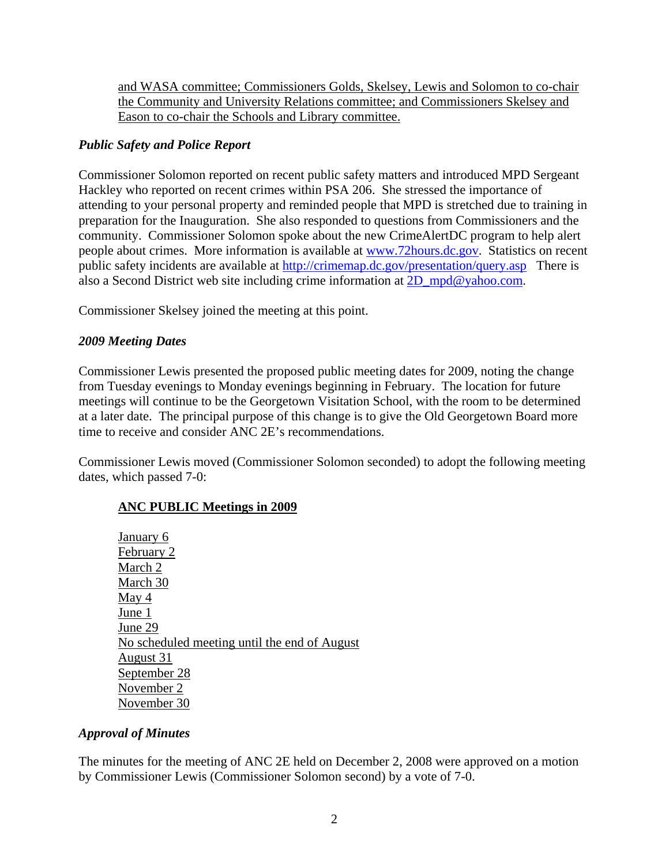and WASA committee; Commissioners Golds, Skelsey, Lewis and Solomon to co-chair the Community and University Relations committee; and Commissioners Skelsey and Eason to co-chair the Schools and Library committee.

### *Public Safety and Police Report*

Commissioner Solomon reported on recent public safety matters and introduced MPD Sergeant Hackley who reported on recent crimes within PSA 206. She stressed the importance of attending to your personal property and reminded people that MPD is stretched due to training in preparation for the Inauguration. She also responded to questions from Commissioners and the community. Commissioner Solomon spoke about the new CrimeAlertDC program to help alert people about crimes. More information is available at www.72hours.dc.gov. Statistics on recent public safety incidents are available at http://crimemap.dc.gov/presentation/query.asp There is also a Second District web site including crime information at 2D\_mpd@yahoo.com.

Commissioner Skelsey joined the meeting at this point.

# *2009 Meeting Dates*

Commissioner Lewis presented the proposed public meeting dates for 2009, noting the change from Tuesday evenings to Monday evenings beginning in February. The location for future meetings will continue to be the Georgetown Visitation School, with the room to be determined at a later date. The principal purpose of this change is to give the Old Georgetown Board more time to receive and consider ANC 2E's recommendations.

Commissioner Lewis moved (Commissioner Solomon seconded) to adopt the following meeting dates, which passed 7-0:

# **ANC PUBLIC Meetings in 2009**

January 6 February 2 March 2 March 30 May 4 June 1 June 29 No scheduled meeting until the end of August August 31 September 28 November 2 November 30

# *Approval of Minutes*

The minutes for the meeting of ANC 2E held on December 2, 2008 were approved on a motion by Commissioner Lewis (Commissioner Solomon second) by a vote of 7-0.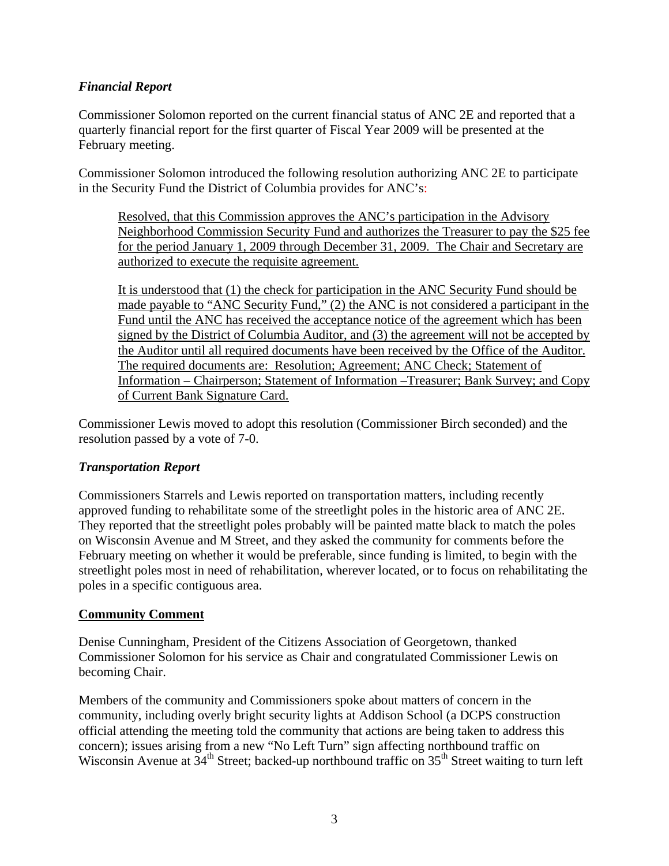### *Financial Report*

Commissioner Solomon reported on the current financial status of ANC 2E and reported that a quarterly financial report for the first quarter of Fiscal Year 2009 will be presented at the February meeting.

Commissioner Solomon introduced the following resolution authorizing ANC 2E to participate in the Security Fund the District of Columbia provides for ANC's:

Resolved, that this Commission approves the ANC's participation in the Advisory Neighborhood Commission Security Fund and authorizes the Treasurer to pay the \$25 fee for the period January 1, 2009 through December 31, 2009. The Chair and Secretary are authorized to execute the requisite agreement.

It is understood that (1) the check for participation in the ANC Security Fund should be made payable to "ANC Security Fund," (2) the ANC is not considered a participant in the Fund until the ANC has received the acceptance notice of the agreement which has been signed by the District of Columbia Auditor, and (3) the agreement will not be accepted by the Auditor until all required documents have been received by the Office of the Auditor. The required documents are: Resolution; Agreement; ANC Check; Statement of Information – Chairperson; Statement of Information –Treasurer; Bank Survey; and Copy of Current Bank Signature Card.

Commissioner Lewis moved to adopt this resolution (Commissioner Birch seconded) and the resolution passed by a vote of 7-0.

### *Transportation Report*

Commissioners Starrels and Lewis reported on transportation matters, including recently approved funding to rehabilitate some of the streetlight poles in the historic area of ANC 2E. They reported that the streetlight poles probably will be painted matte black to match the poles on Wisconsin Avenue and M Street, and they asked the community for comments before the February meeting on whether it would be preferable, since funding is limited, to begin with the streetlight poles most in need of rehabilitation, wherever located, or to focus on rehabilitating the poles in a specific contiguous area.

### **Community Comment**

Denise Cunningham, President of the Citizens Association of Georgetown, thanked Commissioner Solomon for his service as Chair and congratulated Commissioner Lewis on becoming Chair.

Members of the community and Commissioners spoke about matters of concern in the community, including overly bright security lights at Addison School (a DCPS construction official attending the meeting told the community that actions are being taken to address this concern); issues arising from a new "No Left Turn" sign affecting northbound traffic on Wisconsin Avenue at  $34<sup>th</sup>$  Street; backed-up northbound traffic on  $35<sup>th</sup>$  Street waiting to turn left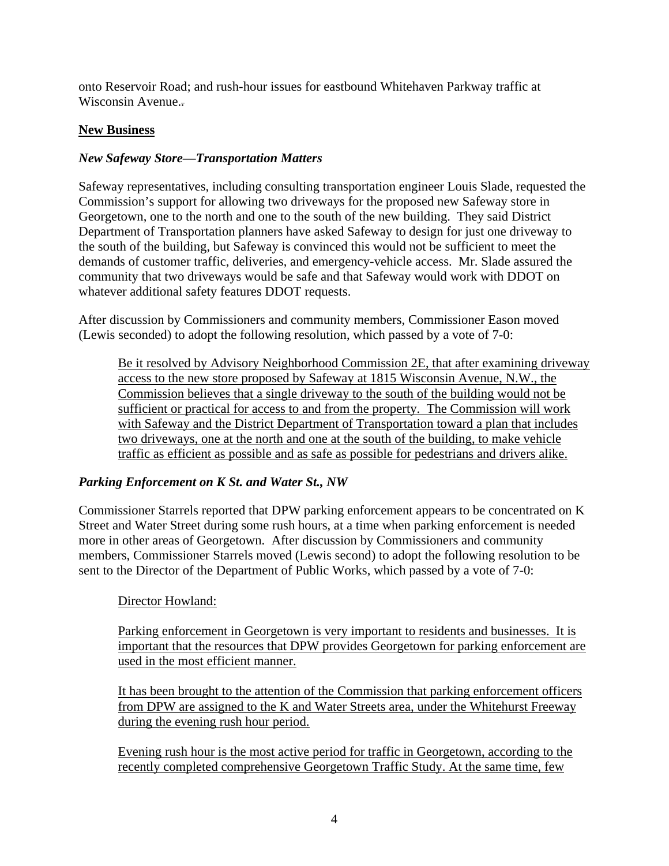onto Reservoir Road; and rush-hour issues for eastbound Whitehaven Parkway traffic at Wisconsin Avenue.*.*

### **New Business**

### *New Safeway Store—Transportation Matters*

Safeway representatives, including consulting transportation engineer Louis Slade, requested the Commission's support for allowing two driveways for the proposed new Safeway store in Georgetown, one to the north and one to the south of the new building. They said District Department of Transportation planners have asked Safeway to design for just one driveway to the south of the building, but Safeway is convinced this would not be sufficient to meet the demands of customer traffic, deliveries, and emergency-vehicle access. Mr. Slade assured the community that two driveways would be safe and that Safeway would work with DDOT on whatever additional safety features DDOT requests.

After discussion by Commissioners and community members, Commissioner Eason moved (Lewis seconded) to adopt the following resolution, which passed by a vote of 7-0:

Be it resolved by Advisory Neighborhood Commission 2E, that after examining driveway access to the new store proposed by Safeway at 1815 Wisconsin Avenue, N.W., the Commission believes that a single driveway to the south of the building would not be sufficient or practical for access to and from the property. The Commission will work with Safeway and the District Department of Transportation toward a plan that includes two driveways, one at the north and one at the south of the building, to make vehicle traffic as efficient as possible and as safe as possible for pedestrians and drivers alike.

# *Parking Enforcement on K St. and Water St., NW*

Commissioner Starrels reported that DPW parking enforcement appears to be concentrated on K Street and Water Street during some rush hours, at a time when parking enforcement is needed more in other areas of Georgetown. After discussion by Commissioners and community members, Commissioner Starrels moved (Lewis second) to adopt the following resolution to be sent to the Director of the Department of Public Works, which passed by a vote of 7-0:

# Director Howland:

Parking enforcement in Georgetown is very important to residents and businesses. It is important that the resources that DPW provides Georgetown for parking enforcement are used in the most efficient manner.

It has been brought to the attention of the Commission that parking enforcement officers from DPW are assigned to the K and Water Streets area, under the Whitehurst Freeway during the evening rush hour period.

Evening rush hour is the most active period for traffic in Georgetown, according to the recently completed comprehensive Georgetown Traffic Study. At the same time, few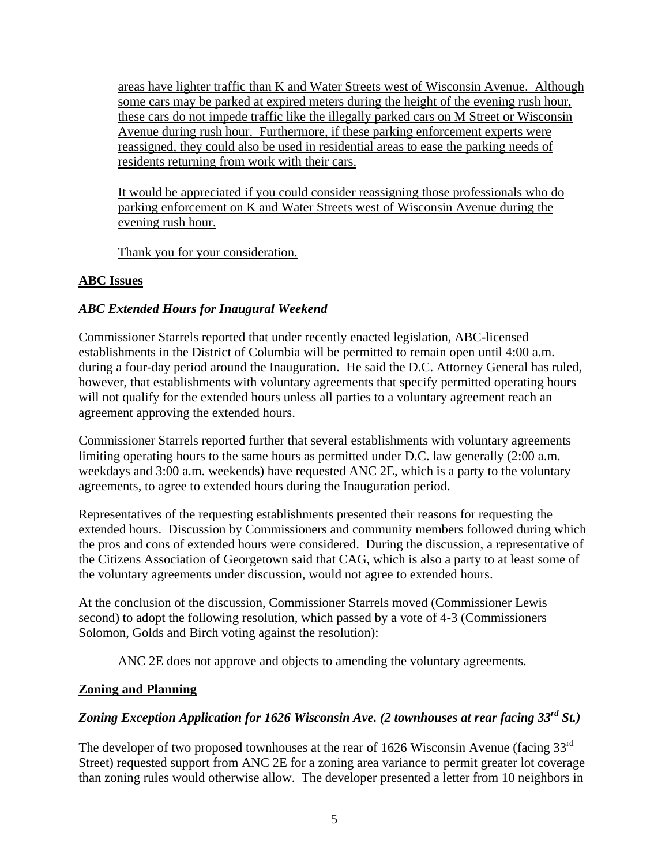areas have lighter traffic than K and Water Streets west of Wisconsin Avenue. Although some cars may be parked at expired meters during the height of the evening rush hour, these cars do not impede traffic like the illegally parked cars on M Street or Wisconsin Avenue during rush hour. Furthermore, if these parking enforcement experts were reassigned, they could also be used in residential areas to ease the parking needs of residents returning from work with their cars.

It would be appreciated if you could consider reassigning those professionals who do parking enforcement on K and Water Streets west of Wisconsin Avenue during the evening rush hour.

Thank you for your consideration.

# **ABC Issues**

# *ABC Extended Hours for Inaugural Weekend*

Commissioner Starrels reported that under recently enacted legislation, ABC-licensed establishments in the District of Columbia will be permitted to remain open until 4:00 a.m. during a four-day period around the Inauguration. He said the D.C. Attorney General has ruled, however, that establishments with voluntary agreements that specify permitted operating hours will not qualify for the extended hours unless all parties to a voluntary agreement reach an agreement approving the extended hours.

Commissioner Starrels reported further that several establishments with voluntary agreements limiting operating hours to the same hours as permitted under D.C. law generally (2:00 a.m. weekdays and 3:00 a.m. weekends) have requested ANC 2E, which is a party to the voluntary agreements, to agree to extended hours during the Inauguration period.

Representatives of the requesting establishments presented their reasons for requesting the extended hours. Discussion by Commissioners and community members followed during which the pros and cons of extended hours were considered. During the discussion, a representative of the Citizens Association of Georgetown said that CAG, which is also a party to at least some of the voluntary agreements under discussion, would not agree to extended hours.

At the conclusion of the discussion, Commissioner Starrels moved (Commissioner Lewis second) to adopt the following resolution, which passed by a vote of 4-3 (Commissioners Solomon, Golds and Birch voting against the resolution):

ANC 2E does not approve and objects to amending the voluntary agreements.

# **Zoning and Planning**

# *Zoning Exception Application for 1626 Wisconsin Ave. (2 townhouses at rear facing 33rd St.)*

The developer of two proposed townhouses at the rear of 1626 Wisconsin Avenue (facing 33<sup>rd</sup>) Street) requested support from ANC 2E for a zoning area variance to permit greater lot coverage than zoning rules would otherwise allow. The developer presented a letter from 10 neighbors in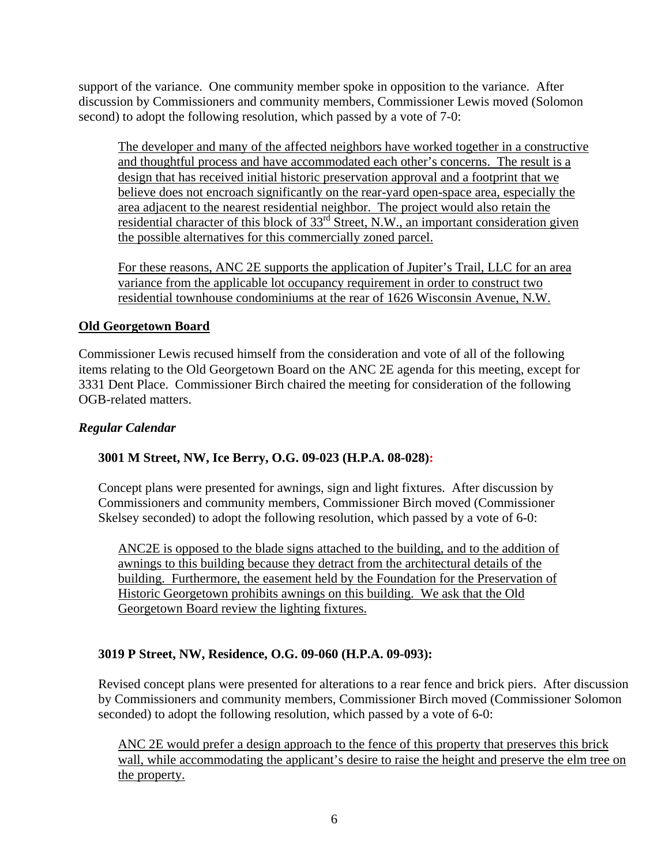support of the variance. One community member spoke in opposition to the variance. After discussion by Commissioners and community members, Commissioner Lewis moved (Solomon second) to adopt the following resolution, which passed by a vote of 7-0:

The developer and many of the affected neighbors have worked together in a constructive and thoughtful process and have accommodated each other's concerns. The result is a design that has received initial historic preservation approval and a footprint that we believe does not encroach significantly on the rear-yard open-space area, especially the area adjacent to the nearest residential neighbor. The project would also retain the residential character of this block of  $33<sup>rd</sup>$  Street, N.W., an important consideration given the possible alternatives for this commercially zoned parcel.

For these reasons, ANC 2E supports the application of Jupiter's Trail, LLC for an area variance from the applicable lot occupancy requirement in order to construct two residential townhouse condominiums at the rear of 1626 Wisconsin Avenue, N.W.

### **Old Georgetown Board**

Commissioner Lewis recused himself from the consideration and vote of all of the following items relating to the Old Georgetown Board on the ANC 2E agenda for this meeting, except for 3331 Dent Place. Commissioner Birch chaired the meeting for consideration of the following OGB-related matters.

#### *Regular Calendar*

### **3001 M Street, NW, Ice Berry, O.G. 09-023 (H.P.A. 08-028):**

Concept plans were presented for awnings, sign and light fixtures. After discussion by Commissioners and community members, Commissioner Birch moved (Commissioner Skelsey seconded) to adopt the following resolution, which passed by a vote of 6-0:

ANC2E is opposed to the blade signs attached to the building, and to the addition of awnings to this building because they detract from the architectural details of the building. Furthermore, the easement held by the Foundation for the Preservation of Historic Georgetown prohibits awnings on this building. We ask that the Old Georgetown Board review the lighting fixtures.

#### **3019 P Street, NW, Residence, O.G. 09-060 (H.P.A. 09-093):**

Revised concept plans were presented for alterations to a rear fence and brick piers. After discussion by Commissioners and community members, Commissioner Birch moved (Commissioner Solomon seconded) to adopt the following resolution, which passed by a vote of 6-0:

ANC 2E would prefer a design approach to the fence of this property that preserves this brick wall, while accommodating the applicant's desire to raise the height and preserve the elm tree on the property.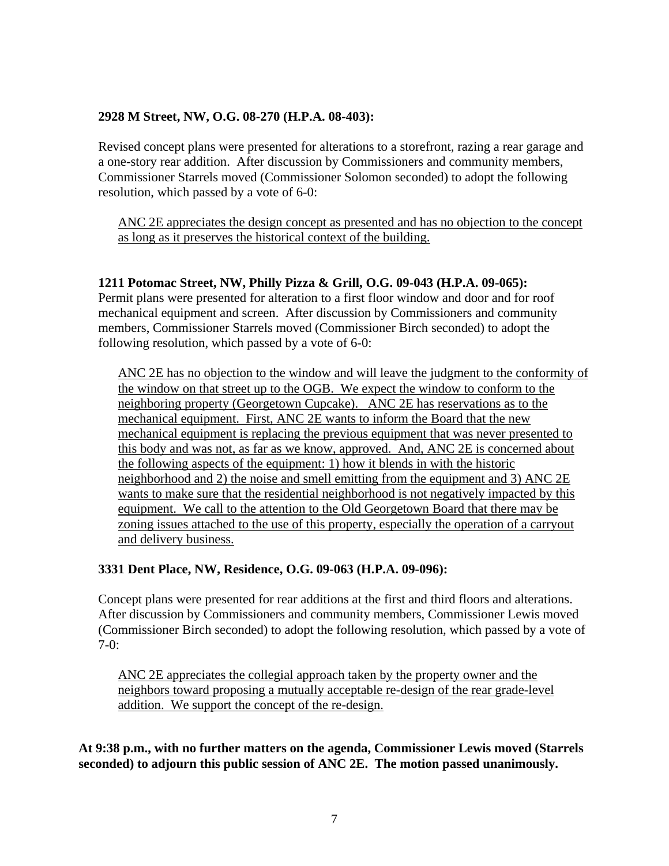#### **2928 M Street, NW, O.G. 08-270 (H.P.A. 08-403):**

Revised concept plans were presented for alterations to a storefront, razing a rear garage and a one-story rear addition. After discussion by Commissioners and community members, Commissioner Starrels moved (Commissioner Solomon seconded) to adopt the following resolution, which passed by a vote of 6-0:

ANC 2E appreciates the design concept as presented and has no objection to the concept as long as it preserves the historical context of the building.

#### **1211 Potomac Street, NW, Philly Pizza & Grill, O.G. 09-043 (H.P.A. 09-065):**

Permit plans were presented for alteration to a first floor window and door and for roof mechanical equipment and screen. After discussion by Commissioners and community members, Commissioner Starrels moved (Commissioner Birch seconded) to adopt the following resolution, which passed by a vote of 6-0:

ANC 2E has no objection to the window and will leave the judgment to the conformity of the window on that street up to the OGB. We expect the window to conform to the neighboring property (Georgetown Cupcake). ANC 2E has reservations as to the mechanical equipment. First, ANC 2E wants to inform the Board that the new mechanical equipment is replacing the previous equipment that was never presented to this body and was not, as far as we know, approved. And, ANC 2E is concerned about the following aspects of the equipment: 1) how it blends in with the historic neighborhood and 2) the noise and smell emitting from the equipment and 3) ANC 2E wants to make sure that the residential neighborhood is not negatively impacted by this equipment. We call to the attention to the Old Georgetown Board that there may be zoning issues attached to the use of this property, especially the operation of a carryout and delivery business.

#### **3331 Dent Place, NW, Residence, O.G. 09-063 (H.P.A. 09-096):**

Concept plans were presented for rear additions at the first and third floors and alterations. After discussion by Commissioners and community members, Commissioner Lewis moved (Commissioner Birch seconded) to adopt the following resolution, which passed by a vote of  $7-0:$ 

ANC 2E appreciates the collegial approach taken by the property owner and the neighbors toward proposing a mutually acceptable re-design of the rear grade-level addition. We support the concept of the re-design.

**At 9:38 p.m., with no further matters on the agenda, Commissioner Lewis moved (Starrels seconded) to adjourn this public session of ANC 2E. The motion passed unanimously.**